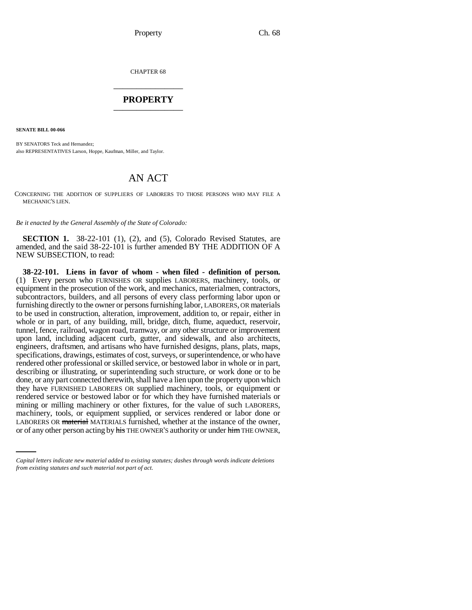CHAPTER 68 \_\_\_\_\_\_\_\_\_\_\_\_\_\_\_

# **PROPERTY** \_\_\_\_\_\_\_\_\_\_\_\_\_\_\_

**SENATE BILL 00-066** 

BY SENATORS Teck and Hernandez; also REPRESENTATIVES Larson, Hoppe, Kaufman, Miller, and Taylor.

# AN ACT

CONCERNING THE ADDITION OF SUPPLIERS OF LABORERS TO THOSE PERSONS WHO MAY FILE A MECHANIC'S LIEN.

*Be it enacted by the General Assembly of the State of Colorado:*

**SECTION 1.** 38-22-101 (1), (2), and (5), Colorado Revised Statutes, are amended, and the said 38-22-101 is further amended BY THE ADDITION OF A NEW SUBSECTION, to read:

machinery, tools, or equipment supplied, or services rendered or labor done or **38-22-101. Liens in favor of whom - when filed - definition of person.** (1) Every person who FURNISHES OR supplies LABORERS, machinery, tools, or equipment in the prosecution of the work, and mechanics, materialmen, contractors, subcontractors, builders, and all persons of every class performing labor upon or furnishing directly to the owner or persons furnishing labor, LABORERS, OR materials to be used in construction, alteration, improvement, addition to, or repair, either in whole or in part, of any building, mill, bridge, ditch, flume, aqueduct, reservoir, tunnel, fence, railroad, wagon road, tramway, or any other structure or improvement upon land, including adjacent curb, gutter, and sidewalk, and also architects, engineers, draftsmen, and artisans who have furnished designs, plans, plats, maps, specifications, drawings, estimates of cost, surveys, or superintendence, or who have rendered other professional or skilled service, or bestowed labor in whole or in part, describing or illustrating, or superintending such structure, or work done or to be done, or any part connected therewith, shall have a lien upon the property upon which they have FURNISHED LABORERS OR supplied machinery, tools, or equipment or rendered service or bestowed labor or for which they have furnished materials or mining or milling machinery or other fixtures, for the value of such LABORERS, LABORERS OR material MATERIALS furnished, whether at the instance of the owner, or of any other person acting by his THE OWNER'S authority or under him THE OWNER,

*Capital letters indicate new material added to existing statutes; dashes through words indicate deletions from existing statutes and such material not part of act.*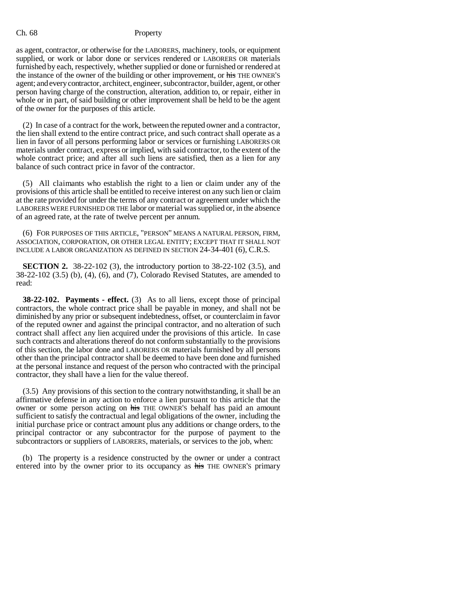as agent, contractor, or otherwise for the LABORERS, machinery, tools, or equipment supplied, or work or labor done or services rendered or LABORERS OR materials furnished by each, respectively, whether supplied or done or furnished or rendered at the instance of the owner of the building or other improvement, or his THE OWNER'S agent; and every contractor, architect, engineer, subcontractor, builder, agent, or other person having charge of the construction, alteration, addition to, or repair, either in whole or in part, of said building or other improvement shall be held to be the agent of the owner for the purposes of this article.

(2) In case of a contract for the work, between the reputed owner and a contractor, the lien shall extend to the entire contract price, and such contract shall operate as a lien in favor of all persons performing labor or services or furnishing LABORERS OR materials under contract, express or implied, with said contractor, to the extent of the whole contract price; and after all such liens are satisfied, then as a lien for any balance of such contract price in favor of the contractor.

(5) All claimants who establish the right to a lien or claim under any of the provisions of this article shall be entitled to receive interest on any such lien or claim at the rate provided for under the terms of any contract or agreement under which the LABORERS WERE FURNISHED OR THE labor or material was supplied or, in the absence of an agreed rate, at the rate of twelve percent per annum.

(6) FOR PURPOSES OF THIS ARTICLE, "PERSON" MEANS A NATURAL PERSON, FIRM, ASSOCIATION, CORPORATION, OR OTHER LEGAL ENTITY; EXCEPT THAT IT SHALL NOT INCLUDE A LABOR ORGANIZATION AS DEFINED IN SECTION 24-34-401 (6), C.R.S.

**SECTION 2.** 38-22-102 (3), the introductory portion to 38-22-102 (3.5), and 38-22-102 (3.5) (b), (4), (6), and (7), Colorado Revised Statutes, are amended to read:

**38-22-102. Payments - effect.** (3) As to all liens, except those of principal contractors, the whole contract price shall be payable in money, and shall not be diminished by any prior or subsequent indebtedness, offset, or counterclaim in favor of the reputed owner and against the principal contractor, and no alteration of such contract shall affect any lien acquired under the provisions of this article. In case such contracts and alterations thereof do not conform substantially to the provisions of this section, the labor done and LABORERS OR materials furnished by all persons other than the principal contractor shall be deemed to have been done and furnished at the personal instance and request of the person who contracted with the principal contractor, they shall have a lien for the value thereof.

(3.5) Any provisions of this section to the contrary notwithstanding, it shall be an affirmative defense in any action to enforce a lien pursuant to this article that the owner or some person acting on his THE OWNER'S behalf has paid an amount sufficient to satisfy the contractual and legal obligations of the owner, including the initial purchase price or contract amount plus any additions or change orders, to the principal contractor or any subcontractor for the purpose of payment to the subcontractors or suppliers of LABORERS, materials, or services to the job, when:

(b) The property is a residence constructed by the owner or under a contract entered into by the owner prior to its occupancy as his THE OWNER'S primary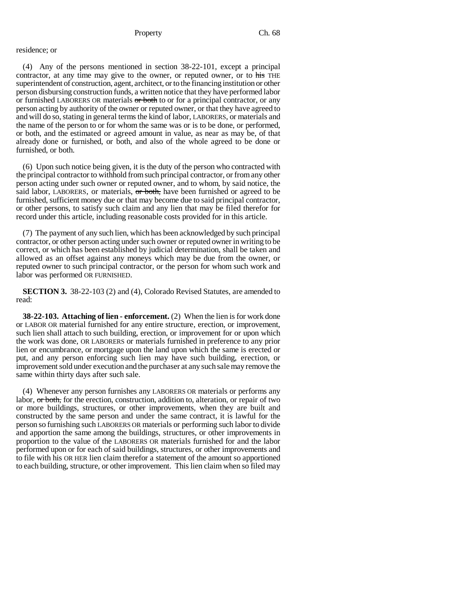# residence; or

(4) Any of the persons mentioned in section 38-22-101, except a principal contractor, at any time may give to the owner, or reputed owner, or to his THE superintendent of construction, agent, architect, or to the financing institution or other person disbursing construction funds, a written notice that they have performed labor or furnished LABORERS OR materials or both to or for a principal contractor, or any person acting by authority of the owner or reputed owner, or that they have agreed to and will do so, stating in general terms the kind of labor, LABORERS, or materials and the name of the person to or for whom the same was or is to be done, or performed, or both, and the estimated or agreed amount in value, as near as may be, of that already done or furnished, or both, and also of the whole agreed to be done or furnished, or both.

(6) Upon such notice being given, it is the duty of the person who contracted with the principal contractor to withhold from such principal contractor, or from any other person acting under such owner or reputed owner, and to whom, by said notice, the said labor, LABORERS, or materials,  $\sigma r$  both, have been furnished or agreed to be furnished, sufficient money due or that may become due to said principal contractor, or other persons, to satisfy such claim and any lien that may be filed therefor for record under this article, including reasonable costs provided for in this article.

(7) The payment of any such lien, which has been acknowledged by such principal contractor, or other person acting under such owner or reputed owner in writing to be correct, or which has been established by judicial determination, shall be taken and allowed as an offset against any moneys which may be due from the owner, or reputed owner to such principal contractor, or the person for whom such work and labor was performed OR FURNISHED.

**SECTION 3.** 38-22-103 (2) and (4), Colorado Revised Statutes, are amended to read:

**38-22-103. Attaching of lien - enforcement.** (2) When the lien is for work done or LABOR OR material furnished for any entire structure, erection, or improvement, such lien shall attach to such building, erection, or improvement for or upon which the work was done, OR LABORERS or materials furnished in preference to any prior lien or encumbrance, or mortgage upon the land upon which the same is erected or put, and any person enforcing such lien may have such building, erection, or improvement sold under execution and the purchaser at any such sale may remove the same within thirty days after such sale.

(4) Whenever any person furnishes any LABORERS OR materials or performs any labor,  $\sigma r$  both, for the erection, construction, addition to, alteration, or repair of two or more buildings, structures, or other improvements, when they are built and constructed by the same person and under the same contract, it is lawful for the person so furnishing such LABORERS OR materials or performing such labor to divide and apportion the same among the buildings, structures, or other improvements in proportion to the value of the LABORERS OR materials furnished for and the labor performed upon or for each of said buildings, structures, or other improvements and to file with his OR HER lien claim therefor a statement of the amount so apportioned to each building, structure, or other improvement. This lien claim when so filed may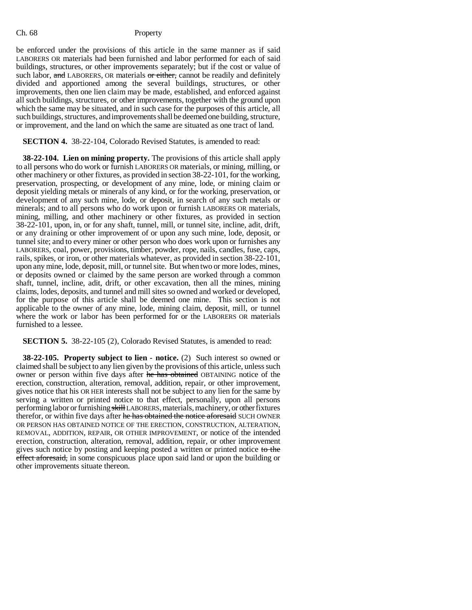be enforced under the provisions of this article in the same manner as if said LABORERS OR materials had been furnished and labor performed for each of said buildings, structures, or other improvements separately; but if the cost or value of such labor, and LABORERS, OR materials or either, cannot be readily and definitely divided and apportioned among the several buildings, structures, or other improvements, then one lien claim may be made, established, and enforced against all such buildings, structures, or other improvements, together with the ground upon which the same may be situated, and in such case for the purposes of this article, all such buildings, structures, and improvements shall be deemed one building, structure, or improvement, and the land on which the same are situated as one tract of land.

# **SECTION 4.** 38-22-104, Colorado Revised Statutes, is amended to read:

**38-22-104. Lien on mining property.** The provisions of this article shall apply to all persons who do work or furnish LABORERS OR materials, or mining, milling, or other machinery or other fixtures, as provided in section 38-22-101, for the working, preservation, prospecting, or development of any mine, lode, or mining claim or deposit yielding metals or minerals of any kind, or for the working, preservation, or development of any such mine, lode, or deposit, in search of any such metals or minerals; and to all persons who do work upon or furnish LABORERS OR materials, mining, milling, and other machinery or other fixtures, as provided in section 38-22-101, upon, in, or for any shaft, tunnel, mill, or tunnel site, incline, adit, drift, or any draining or other improvement of or upon any such mine, lode, deposit, or tunnel site; and to every miner or other person who does work upon or furnishes any LABORERS, coal, power, provisions, timber, powder, rope, nails, candles, fuse, caps, rails, spikes, or iron, or other materials whatever, as provided in section 38-22-101, upon any mine, lode, deposit, mill, or tunnel site. But when two or more lodes, mines, or deposits owned or claimed by the same person are worked through a common shaft, tunnel, incline, adit, drift, or other excavation, then all the mines, mining claims, lodes, deposits, and tunnel and mill sites so owned and worked or developed, for the purpose of this article shall be deemed one mine. This section is not applicable to the owner of any mine, lode, mining claim, deposit, mill, or tunnel where the work or labor has been performed for or the LABORERS OR materials furnished to a lessee.

### **SECTION 5.** 38-22-105 (2), Colorado Revised Statutes, is amended to read:

**38-22-105. Property subject to lien - notice.** (2) Such interest so owned or claimed shall be subject to any lien given by the provisions of this article, unless such owner or person within five days after he has obtained OBTAINING notice of the erection, construction, alteration, removal, addition, repair, or other improvement, gives notice that his OR HER interests shall not be subject to any lien for the same by serving a written or printed notice to that effect, personally, upon all persons performing labor or furnishing skill LABORERS, materials, machinery, or other fixtures therefor, or within five days after he has obtained the notice aforesaid SUCH OWNER OR PERSON HAS OBTAINED NOTICE OF THE ERECTION, CONSTRUCTION, ALTERATION, REMOVAL, ADDITION, REPAIR, OR OTHER IMPROVEMENT, or notice of the intended erection, construction, alteration, removal, addition, repair, or other improvement gives such notice by posting and keeping posted a written or printed notice to the effect aforesaid, in some conspicuous place upon said land or upon the building or other improvements situate thereon.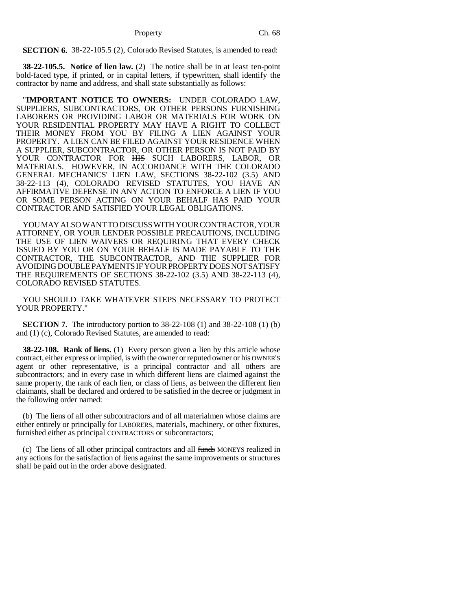Property Ch. 68

**SECTION 6.** 38-22-105.5 (2), Colorado Revised Statutes, is amended to read:

**38-22-105.5. Notice of lien law.** (2) The notice shall be in at least ten-point bold-faced type, if printed, or in capital letters, if typewritten, shall identify the contractor by name and address, and shall state substantially as follows:

"**IMPORTANT NOTICE TO OWNERS:** UNDER COLORADO LAW, SUPPLIERS, SUBCONTRACTORS, OR OTHER PERSONS FURNISHING LABORERS OR PROVIDING LABOR OR MATERIALS FOR WORK ON YOUR RESIDENTIAL PROPERTY MAY HAVE A RIGHT TO COLLECT THEIR MONEY FROM YOU BY FILING A LIEN AGAINST YOUR PROPERTY. A LIEN CAN BE FILED AGAINST YOUR RESIDENCE WHEN A SUPPLIER, SUBCONTRACTOR, OR OTHER PERSON IS NOT PAID BY YOUR CONTRACTOR FOR HIS SUCH LABORERS, LABOR, OR MATERIALS. HOWEVER, IN ACCORDANCE WITH THE COLORADO GENERAL MECHANICS' LIEN LAW, SECTIONS 38-22-102 (3.5) AND 38-22-113 (4), COLORADO REVISED STATUTES, YOU HAVE AN AFFIRMATIVE DEFENSE IN ANY ACTION TO ENFORCE A LIEN IF YOU OR SOME PERSON ACTING ON YOUR BEHALF HAS PAID YOUR CONTRACTOR AND SATISFIED YOUR LEGAL OBLIGATIONS.

YOU MAY ALSO WANT TO DISCUSS WITH YOUR CONTRACTOR, YOUR ATTORNEY, OR YOUR LENDER POSSIBLE PRECAUTIONS, INCLUDING THE USE OF LIEN WAIVERS OR REQUIRING THAT EVERY CHECK ISSUED BY YOU OR ON YOUR BEHALF IS MADE PAYABLE TO THE CONTRACTOR, THE SUBCONTRACTOR, AND THE SUPPLIER FOR AVOIDING DOUBLE PAYMENTS IF YOUR PROPERTY DOES NOT SATISFY THE REQUIREMENTS OF SECTIONS 38-22-102 (3.5) AND 38-22-113 (4), COLORADO REVISED STATUTES.

YOU SHOULD TAKE WHATEVER STEPS NECESSARY TO PROTECT YOUR PROPERTY."

**SECTION 7.** The introductory portion to 38-22-108 (1) and 38-22-108 (1) (b) and (1) (c), Colorado Revised Statutes, are amended to read:

**38-22-108. Rank of liens.** (1) Every person given a lien by this article whose contract, either express or implied, is with the owner or reputed owner or his OWNER'S agent or other representative, is a principal contractor and all others are subcontractors; and in every case in which different liens are claimed against the same property, the rank of each lien, or class of liens, as between the different lien claimants, shall be declared and ordered to be satisfied in the decree or judgment in the following order named:

(b) The liens of all other subcontractors and of all materialmen whose claims are either entirely or principally for LABORERS, materials, machinery, or other fixtures, furnished either as principal CONTRACTORS or subcontractors;

(c) The liens of all other principal contractors and all funds MONEYS realized in any actions for the satisfaction of liens against the same improvements or structures shall be paid out in the order above designated.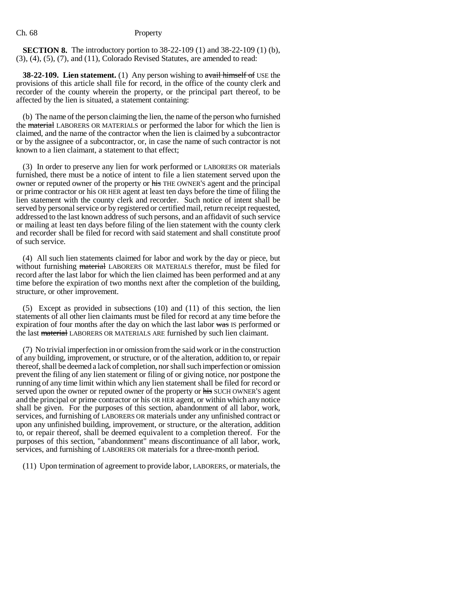**SECTION 8.** The introductory portion to 38-22-109 (1) and 38-22-109 (1) (b), (3), (4), (5), (7), and (11), Colorado Revised Statutes, are amended to read:

**38-22-109. Lien statement.** (1) Any person wishing to avail himself of USE the provisions of this article shall file for record, in the office of the county clerk and recorder of the county wherein the property, or the principal part thereof, to be affected by the lien is situated, a statement containing:

(b) The name of the person claiming the lien, the name of the person who furnished the material LABORERS OR MATERIALS or performed the labor for which the lien is claimed, and the name of the contractor when the lien is claimed by a subcontractor or by the assignee of a subcontractor, or, in case the name of such contractor is not known to a lien claimant, a statement to that effect;

(3) In order to preserve any lien for work performed or LABORERS OR materials furnished, there must be a notice of intent to file a lien statement served upon the owner or reputed owner of the property or his THE OWNER'S agent and the principal or prime contractor or his OR HER agent at least ten days before the time of filing the lien statement with the county clerk and recorder. Such notice of intent shall be served by personal service or by registered or certified mail, return receipt requested, addressed to the last known address of such persons, and an affidavit of such service or mailing at least ten days before filing of the lien statement with the county clerk and recorder shall be filed for record with said statement and shall constitute proof of such service.

(4) All such lien statements claimed for labor and work by the day or piece, but without furnishing material LABORERS OR MATERIALS therefor, must be filed for record after the last labor for which the lien claimed has been performed and at any time before the expiration of two months next after the completion of the building, structure, or other improvement.

(5) Except as provided in subsections (10) and (11) of this section, the lien statements of all other lien claimants must be filed for record at any time before the expiration of four months after the day on which the last labor was IS performed or the last material LABORERS OR MATERIALS ARE furnished by such lien claimant.

(7) No trivial imperfection in or omission from the said work or in the construction of any building, improvement, or structure, or of the alteration, addition to, or repair thereof, shall be deemed a lack of completion, nor shall such imperfection or omission prevent the filing of any lien statement or filing of or giving notice, nor postpone the running of any time limit within which any lien statement shall be filed for record or served upon the owner or reputed owner of the property or his SUCH OWNER'S agent and the principal or prime contractor or his OR HER agent, or within which any notice shall be given. For the purposes of this section, abandonment of all labor, work, services, and furnishing of LABORERS OR materials under any unfinished contract or upon any unfinished building, improvement, or structure, or the alteration, addition to, or repair thereof, shall be deemed equivalent to a completion thereof. For the purposes of this section, "abandonment" means discontinuance of all labor, work, services, and furnishing of LABORERS OR materials for a three-month period.

(11) Upon termination of agreement to provide labor, LABORERS, or materials, the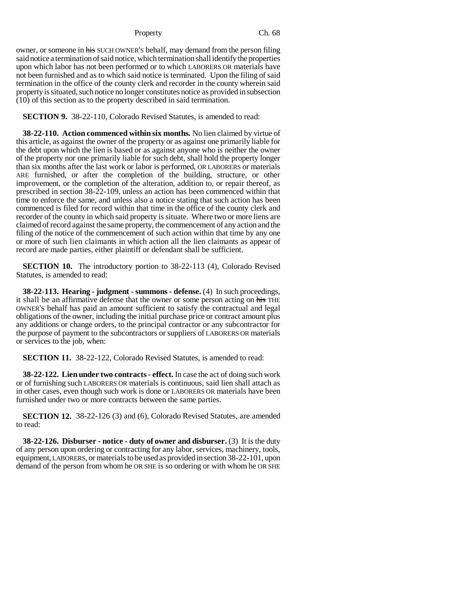#### Property Ch. 68

owner, or someone in his SUCH OWNER's behalf, may demand from the person filing said notice a termination of said notice, which termination shall identify the properties upon which labor has not been performed or to which LABORERS OR materials have not been furnished and as to which said notice is terminated. Upon the filing of said termination in the office of the county clerk and recorder in the county wherein said property is situated, such notice no longer constitutes notice as provided in subsection (10) of this section as to the property described in said termination.

**SECTION 9.** 38-22-110, Colorado Revised Statutes, is amended to read:

**38-22-110. Action commenced within six months.** No lien claimed by virtue of this article, as against the owner of the property or as against one primarily liable for the debt upon which the lien is based or as against anyone who is neither the owner of the property nor one primarily liable for such debt, shall hold the property longer than six months after the last work or labor is performed, OR LABORERS or materials ARE furnished, or after the completion of the building, structure, or other improvement, or the completion of the alteration, addition to, or repair thereof, as prescribed in section 38-22-109, unless an action has been commenced within that time to enforce the same, and unless also a notice stating that such action has been commenced is filed for record within that time in the office of the county clerk and recorder of the county in which said property is situate. Where two or more liens are claimed of record against the same property, the commencement of any action and the filing of the notice of the commencement of such action within that time by any one or more of such lien claimants in which action all the lien claimants as appear of record are made parties, either plaintiff or defendant shall be sufficient.

**SECTION 10.** The introductory portion to 38-22-113 (4), Colorado Revised Statutes, is amended to read:

**38-22-113. Hearing - judgment - summons - defense.** (4) In such proceedings, it shall be an affirmative defense that the owner or some person acting on his THE OWNER'S behalf has paid an amount sufficient to satisfy the contractual and legal obligations of the owner, including the initial purchase price or contract amount plus any additions or change orders, to the principal contractor or any subcontractor for the purpose of payment to the subcontractors or suppliers of LABORERS OR materials or services to the job, when:

**SECTION 11.** 38-22-122, Colorado Revised Statutes, is amended to read:

**38-22-122. Lien under two contracts - effect.** In case the act of doing such work or of furnishing such LABORERS OR materials is continuous, said lien shall attach as in other cases, even though such work is done or LABORERS OR materials have been furnished under two or more contracts between the same parties.

**SECTION 12.** 38-22-126 (3) and (6), Colorado Revised Statutes, are amended to read:

**38-22-126. Disburser - notice - duty of owner and disburser.** (3) It is the duty of any person upon ordering or contracting for any labor, services, machinery, tools, equipment, LABORERS, or materials to be used as provided in section 38-22-101, upon demand of the person from whom he OR SHE is so ordering or with whom he OR SHE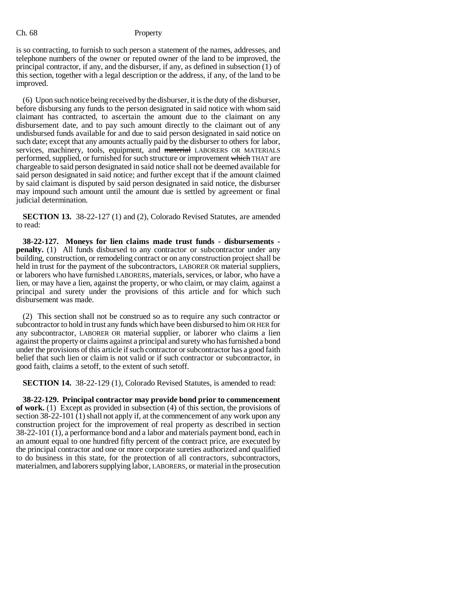is so contracting, to furnish to such person a statement of the names, addresses, and telephone numbers of the owner or reputed owner of the land to be improved, the principal contractor, if any, and the disburser, if any, as defined in subsection (1) of this section, together with a legal description or the address, if any, of the land to be improved.

(6) Upon such notice being received by the disburser, it is the duty of the disburser, before disbursing any funds to the person designated in said notice with whom said claimant has contracted, to ascertain the amount due to the claimant on any disbursement date, and to pay such amount directly to the claimant out of any undisbursed funds available for and due to said person designated in said notice on such date; except that any amounts actually paid by the disburser to others for labor, services, machinery, tools, equipment, and material LABORERS OR MATERIALS performed, supplied, or furnished for such structure or improvement which THAT are chargeable to said person designated in said notice shall not be deemed available for said person designated in said notice; and further except that if the amount claimed by said claimant is disputed by said person designated in said notice, the disburser may impound such amount until the amount due is settled by agreement or final judicial determination.

**SECTION 13.** 38-22-127 (1) and (2), Colorado Revised Statutes, are amended to read:

**38-22-127. Moneys for lien claims made trust funds - disbursements penalty.** (1) All funds disbursed to any contractor or subcontractor under any building, construction, or remodeling contract or on any construction project shall be held in trust for the payment of the subcontractors, LABORER OR material suppliers, or laborers who have furnished LABORERS, materials, services, or labor, who have a lien, or may have a lien, against the property, or who claim, or may claim, against a principal and surety under the provisions of this article and for which such disbursement was made.

(2) This section shall not be construed so as to require any such contractor or subcontractor to hold in trust any funds which have been disbursed to him OR HER for any subcontractor, LABORER OR material supplier, or laborer who claims a lien against the property or claims against a principal and surety who has furnished a bond under the provisions of this article if such contractor or subcontractor has a good faith belief that such lien or claim is not valid or if such contractor or subcontractor, in good faith, claims a setoff, to the extent of such setoff.

**SECTION 14.** 38-22-129 (1), Colorado Revised Statutes, is amended to read:

**38-22-129. Principal contractor may provide bond prior to commencement of work.** (1) Except as provided in subsection (4) of this section, the provisions of section 38-22-101 (1) shall not apply if, at the commencement of any work upon any construction project for the improvement of real property as described in section 38-22-101 (1), a performance bond and a labor and materials payment bond, each in an amount equal to one hundred fifty percent of the contract price, are executed by the principal contractor and one or more corporate sureties authorized and qualified to do business in this state, for the protection of all contractors, subcontractors, materialmen, and laborers supplying labor, LABORERS, or material in the prosecution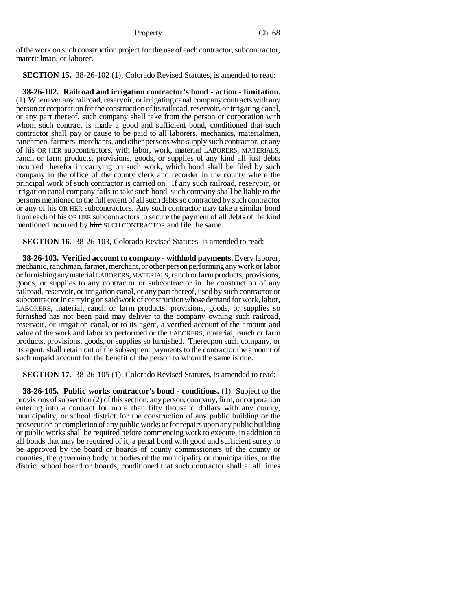of the work on such construction project for the use of each contractor, subcontractor, materialman, or laborer.

**SECTION 15.** 38-26-102 (1), Colorado Revised Statutes, is amended to read:

**38-26-102. Railroad and irrigation contractor's bond - action - limitation.** (1) Whenever any railroad, reservoir, or irrigating canal company contracts with any person or corporation for the construction of its railroad, reservoir, or irrigating canal, or any part thereof, such company shall take from the person or corporation with whom such contract is made a good and sufficient bond, conditioned that such contractor shall pay or cause to be paid to all laborers, mechanics, materialmen, ranchmen, farmers, merchants, and other persons who supply such contractor, or any of his OR HER subcontractors, with labor, work, material LABORERS, MATERIALS, ranch or farm products, provisions, goods, or supplies of any kind all just debts incurred therefor in carrying on such work, which bond shall be filed by such company in the office of the county clerk and recorder in the county where the principal work of such contractor is carried on. If any such railroad, reservoir, or irrigation canal company fails to take such bond, such company shall be liable to the persons mentioned to the full extent of all such debts so contracted by such contractor or any of his OR HER subcontractors. Any such contractor may take a similar bond from each of his OR HER subcontractors to secure the payment of all debts of the kind mentioned incurred by him SUCH CONTRACTOR and file the same.

**SECTION 16.** 38-26-103, Colorado Revised Statutes, is amended to read:

**38-26-103. Verified account to company - withhold payments.** Every laborer, mechanic, ranchman, farmer, merchant, or other person performing any work or labor or furnishing any material LABORERS, MATERIALS, ranch or farm products, provisions, goods, or supplies to any contractor or subcontractor in the construction of any railroad, reservoir, or irrigation canal, or any part thereof, used by such contractor or subcontractor in carrying on said work of construction whose demand for work, labor, LABORERS, material, ranch or farm products, provisions, goods, or supplies so furnished has not been paid may deliver to the company owning such railroad, reservoir, or irrigation canal, or to its agent, a verified account of the amount and value of the work and labor so performed or the LABORERS, material, ranch or farm products, provisions, goods, or supplies so furnished. Thereupon such company, or its agent, shall retain out of the subsequent payments to the contractor the amount of such unpaid account for the benefit of the person to whom the same is due.

**SECTION 17.** 38-26-105 (1), Colorado Revised Statutes, is amended to read:

**38-26-105. Public works contractor's bond - conditions.** (1) Subject to the provisions of subsection (2) of this section, any person, company, firm, or corporation entering into a contract for more than fifty thousand dollars with any county, municipality, or school district for the construction of any public building or the prosecution or completion of any public works or for repairs upon any public building or public works shall be required before commencing work to execute, in addition to all bonds that may be required of it, a penal bond with good and sufficient surety to be approved by the board or boards of county commissioners of the county or counties, the governing body or bodies of the municipality or municipalities, or the district school board or boards, conditioned that such contractor shall at all times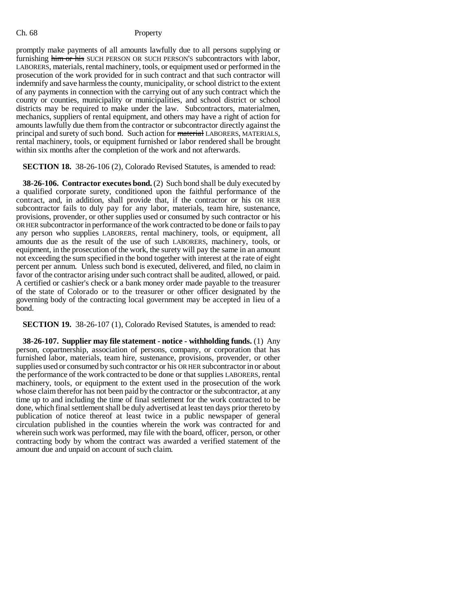promptly make payments of all amounts lawfully due to all persons supplying or furnishing him or his SUCH PERSON OR SUCH PERSON'S subcontractors with labor, LABORERS, materials, rental machinery, tools, or equipment used or performed in the prosecution of the work provided for in such contract and that such contractor will indemnify and save harmless the county, municipality, or school district to the extent of any payments in connection with the carrying out of any such contract which the county or counties, municipality or municipalities, and school district or school districts may be required to make under the law. Subcontractors, materialmen, mechanics, suppliers of rental equipment, and others may have a right of action for amounts lawfully due them from the contractor or subcontractor directly against the principal and surety of such bond. Such action for material LABORERS, MATERIALS, rental machinery, tools, or equipment furnished or labor rendered shall be brought within six months after the completion of the work and not afterwards.

**SECTION 18.** 38-26-106 (2), Colorado Revised Statutes, is amended to read:

**38-26-106. Contractor executes bond.** (2) Such bond shall be duly executed by a qualified corporate surety, conditioned upon the faithful performance of the contract, and, in addition, shall provide that, if the contractor or his OR HER subcontractor fails to duly pay for any labor, materials, team hire, sustenance, provisions, provender, or other supplies used or consumed by such contractor or his OR HER subcontractor in performance of the work contracted to be done or fails to pay any person who supplies LABORERS, rental machinery, tools, or equipment, all amounts due as the result of the use of such LABORERS, machinery, tools, or equipment, in the prosecution of the work, the surety will pay the same in an amount not exceeding the sum specified in the bond together with interest at the rate of eight percent per annum. Unless such bond is executed, delivered, and filed, no claim in favor of the contractor arising under such contract shall be audited, allowed, or paid. A certified or cashier's check or a bank money order made payable to the treasurer of the state of Colorado or to the treasurer or other officer designated by the governing body of the contracting local government may be accepted in lieu of a bond.

#### **SECTION 19.** 38-26-107 (1), Colorado Revised Statutes, is amended to read:

**38-26-107. Supplier may file statement - notice - withholding funds.** (1) Any person, copartnership, association of persons, company, or corporation that has furnished labor, materials, team hire, sustenance, provisions, provender, or other supplies used or consumed by such contractor or his OR HER subcontractor in or about the performance of the work contracted to be done or that supplies LABORERS, rental machinery, tools, or equipment to the extent used in the prosecution of the work whose claim therefor has not been paid by the contractor or the subcontractor, at any time up to and including the time of final settlement for the work contracted to be done, which final settlement shall be duly advertised at least ten days prior thereto by publication of notice thereof at least twice in a public newspaper of general circulation published in the counties wherein the work was contracted for and wherein such work was performed, may file with the board, officer, person, or other contracting body by whom the contract was awarded a verified statement of the amount due and unpaid on account of such claim.